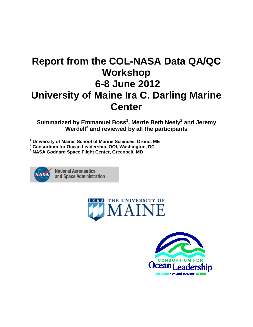# **Report from the COL-NASA Data QA/QC Workshop 6-8 June 2012 University of Maine Ira C. Darling Marine Center**

**Summarized by Emmanuel Boss1 , Merrie Beth Neely2 and Jeremy Werdell<sup>3</sup> and reviewed by all the participants**

**<sup>1</sup> University of Maine, School of Marine Sciences, Orono, ME**

**<sup>2</sup> Consortium for Ocean Leadership, OOI, Washington, DC**

**<sup>3</sup> NASA Goddard Space Flight Center, Greenbelt, MD**



**National Aeronautics** and Space Administration



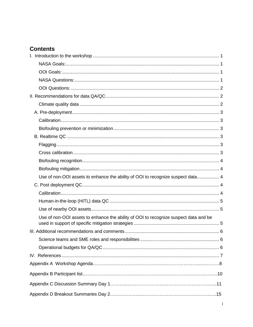## **Contents**

| Use of non-OOI assets to enhance the ability of OOI to recognize suspect data 4      |  |
|--------------------------------------------------------------------------------------|--|
|                                                                                      |  |
|                                                                                      |  |
|                                                                                      |  |
|                                                                                      |  |
| Use of non-OOI assets to enhance the ability of OOI to recognize suspect data and be |  |
|                                                                                      |  |
|                                                                                      |  |
|                                                                                      |  |
|                                                                                      |  |
|                                                                                      |  |
|                                                                                      |  |
|                                                                                      |  |
|                                                                                      |  |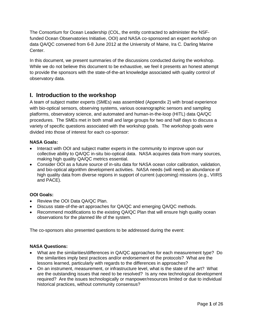The Consortium for Ocean Leadership (COL, the entity contracted to administer the NSFfunded Ocean Observatories Initiative, OOI) and NASA co-sponsored an expert workshop on data QA/QC convened from 6-8 June 2012 at the University of Maine, Ira C. Darling Marine Center.

In this document, we present summaries of the discussions conducted during the workshop. While we do not believe this document to be exhaustive, we feel it presents an honest attempt to provide the sponsors with the state-of-the-art knowledge associated with quality control of observatory data.

### <span id="page-2-0"></span>**I. Introduction to the workshop**

A team of subject matter experts (SMEs) was assembled (Appendix 2) with broad experience with bio-optical sensors, observing systems, various oceanographic sensors and sampling platforms, observatory science, and automated and human-in-the-loop (HITL) data QA/QC procedures. The SMEs met in both small and large groups for two and half days to discuss a variety of specific questions associated with the workshop goals. The workshop goals were divided into those of interest for each co-sponsor:

### <span id="page-2-1"></span>**NASA Goals:**

- Interact with OOI and subject matter experts in the community to improve upon our collective ability to QA/QC in-situ bio-optical data. NASA acquires data from many sources, making high quality QA/QC metrics essential.
- Consider OOI as a future source of in-situ data for NASA ocean color calibration, validation, and bio-optical algorithm development activities. NASA needs (will need) an abundance of high quality data from diverse regions in support of current (upcoming) missions (e.g., VIIRS and PACE).

### <span id="page-2-2"></span>**OOI Goals:**

- Review the OOI Data QA/QC Plan.
- Discuss state-of-the-art approaches for QA/QC and emerging QA/QC methods.
- Recommend modifications to the existing QA/QC Plan that will ensure high quality ocean observations for the planned life of the system.

The co-sponsors also presented questions to be addressed during the event:

### <span id="page-2-3"></span>**NASA Questions:**

- What are the similarities/differences in QA/QC approaches for each measurement type? Do the similarities imply best practices and/or endorsement of the protocols? What are the lessons learned, particularly with regards to the differences in approaches?
- On an instrument, measurement, or infrastructure level, what is the state of the art? What are the outstanding issues that need to be resolved? Is any new technological development required? Are the issues technologically or manpower/resources limited or due to individual historical practices, without community consensus?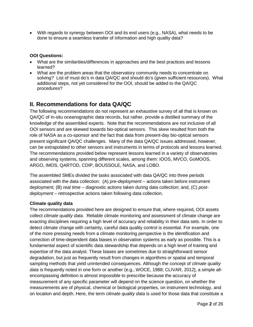• With regards to synergy between OOI and its end users (e.g., NASA), what needs to be done to ensure a seamless transfer of information and high quality data?

### <span id="page-3-0"></span>**OOI Questions:**

- What are the similarities/differences in approaches and the best practices and lessons learned?
- What are the problem areas that the observatory community needs to concentrate on solving? List of must do's in data QA/QC and should do's (given sufficient resources). What additional steps, not yet considered for the OOI, should be added to the QA/QC procedures?

### <span id="page-3-1"></span>**II. Recommendations for data QA/QC**

The following recommendations do not represent an exhaustive survey of all that is known on QA/QC of in-situ oceanographic data records, but rather, provide a distilled summary of the knowledge of the assembled experts. Note that the recommendations are not inclusive of all OOI sensors and are skewed towards bio-optical sensors. This skew resulted from both the role of NASA as a co-sponsor and the fact that data from present-day bio-optical sensors present significant QA/QC challenges. Many of the data QA/QC issues addressed, however, can be extrapolated to other sensors and instruments in terms of protocols and lessons learned. The recommendations provided below represent lessons learned in a variety of observatories and observing systems, spanning different scales, among them: IOOS, MVCO, GoMOOS, ARGO, IMOS, QARTOD, CDIP, BOUSSOLE, NASA, and LOBO.

The assembled SMEs divided the tasks associated with data QA/QC into three periods associated with the data collection: (A) *pre-deployment* – actions taken before instrument deployment; (B) *real time* – diagnostic actions taken during data collection; and, (C) *postdeployment* – retrospective actions taken following data collection.

### <span id="page-3-2"></span>**Climate quality data**

The recommendations provided here are designed to ensure that, where required, OOI assets collect *climate quality data*. Reliable climate monitoring and assessment of climate change are exacting disciplines requiring a high level of accuracy and reliability in their data sets. In order to detect climate change with certainty, careful data quality control is essential. For example, one of the more pressing needs from a climate monitoring perspective is the identification and correction of time-dependent data biases in observation systems as early as possible. This is a fundamental aspect of scientific data stewardship that depends on a high level of training and expertise of the data analyst. These biases are sometimes due to straightforward sensor degradation, but just as frequently result from changes in algorithms or spatial and temporal sampling methods that yield unintended consequences. Although the concept of *climate quality data* is frequently noted in one form or another (e.g., WOCE, 1988; CLIVAR, 2012], a simple allencompassing definition is almost impossible to prescribe because the accuracy of measurement of any specific parameter will depend on the science question, on whether the measurements are of physical, chemical or biological properties, on instrument technology, and on location and depth. Here, the term *climate quality data* is used for those data that constitute a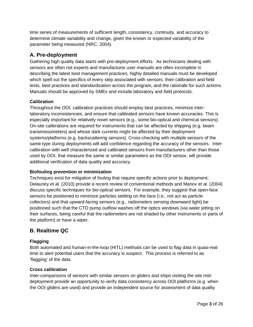time series of measurements of sufficient length, consistency, continuity, and accuracy to determine climate variability and change, given the known or expected variability of the parameter being measured (NRC, 2004).

### <span id="page-4-0"></span>**A. Pre-deployment**

Gathering high quality data starts with pre-deployment efforts. As technicians dealing with sensors are often not experts and manufacturer user manuals are often incomplete in describing the latest best management practices, highly detailed manuals must be developed which spell out the specifics of every step associated with sensors, their calibration and field tests, best practices and standardization across the program, and the rationale for such actions. Manuals should be approved by SMEs and include laboratory and field protocols.

### <span id="page-4-1"></span>**Calibration**

Throughout the OOI, calibration practices should employ best practices, minimize interlaboratory inconsistencies, and ensure that calibrated sensors have known accuracies. This is especially important for relatively novel sensors (e.g., some bio-optical and chemical sensors). On-site calibrations are required for instruments that can be affected by shipping (e.g. beam transmissometers) and whose dark currents might be affected by their deployment systems/platforms (e.g. backscattering sensors). Cross-checking with multiple sensors of the same type during deployments will add confidence regarding the accuracy of the sensors. Intercalibration with well characterized and calibrated sensors from manufacturers other than those used by OOI, that measure the same or similar parameters as the OOI sensor, will provide additional verification of data quality and accuracy.

### <span id="page-4-2"></span>**Biofouling prevention or minimization**

Techniques exist for mitigation of fouling that require specific actions prior to deployment; Delauney et al. (2010) provide a recent review of conventional methods and Manov et al. (2004) discuss specific techniques for bio-optical sensors. For example, they suggest that open-face sensors be positioned to minimize particles settling on the face (i.e., not act as particle collectors) and that upward-facing sensors (e.g., radiometers sensing downward light) be positioned such that the CTD pump outflow washes off the optics windows (via water jetting on their surfaces, being careful that the radiometers are not shaded by other instruments or parts of the platform) or have a wiper.

### <span id="page-4-3"></span>**B. Realtime QC**

### <span id="page-4-4"></span>**Flagging**

Both automated and human-in-the-loop (HITL) methods can be used to flag data in quasi-real time to alert potential users that the accuracy is suspect. This process is referred to as 'flagging' of the data.

### <span id="page-4-5"></span>**Cross calibration**

Inter-comparisons of sensors with similar sensors on gliders and ships visiting the site middeployment provide an opportunity to verify data consistency across OOI platforms (e.g. when the OOI gliders are used) and provide an independent source for assessment of data quality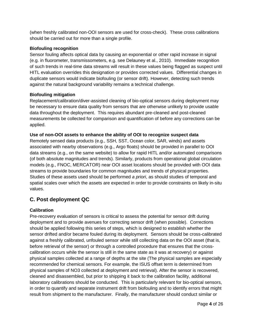(when freshly calibrated non-OOI sensors are used for cross-check). These cross calibrations should be carried out for more than a single profile.

### <span id="page-5-0"></span>**Biofouling recognition**

Sensor fouling affects optical data by causing an exponential or other rapid increase in signal (e.g. in fluorometer, transmissometers, e.g. see Delauney et al., 2010). Immediate recognition of such trends in real-time data streams will result in these values being flagged as suspect until HITL evaluation overrides this designation or provides corrected values. Differential changes in duplicate sensors would indicate biofouling (or sensor drift). However, detecting such trends against the natural background variability remains a technical challenge.

### <span id="page-5-1"></span>**Biofouling mitigation**

Replacement/calibration/diver-assisted cleaning of bio-optical sensors during deployment may be necessary to ensure data quality from sensors that are otherwise unlikely to provide usable data throughout the deployment. This requires abundant pre-cleaned and post-cleaned measurements be collected for comparison and quantification of before any corrections can be applied.

### <span id="page-5-2"></span>**Use of non-OOI assets to enhance the ability of OOI to recognize suspect data**

Remotely sensed data products (e.g., SSH, SST, Ocean color, SAR, winds) and assets associated with nearby observations (e.g., Argo floats) should be provided in parallel to OOI data streams (e.g., on the same website) to allow for rapid HITL and/or automated comparisons (of both absolute magnitudes and trends). Similarly, products from operational global circulation models (e.g., FNOC, MERCATOR) near OOI asset locations should be provided with OOI data streams to provide boundaries for common magnitudes and trends of physical properties. Studies of these assets used should be performed *a priori*, as should studies of temporal and spatial scales over which the assets are expected in order to provide constraints on likely in-situ values.

### <span id="page-5-3"></span>**C. Post deployment QC**

### <span id="page-5-4"></span>**Calibration**

Pre-recovery evaluation of sensors is critical to assess the potential for sensor drift during deployment and to provide avenues for correcting sensor drift (when possible). Corrections should be applied following this series of steps, which is designed to establish whether the sensor drifted and/or became fouled during its deployment. Sensors should be cross-calibrated against a freshly calibrated, unfouled sensor while still collecting data on the OOI asset (that is, before retrieval of the sensor) or through a controlled procedure that ensures that the crosscalibration occurs while the sensor is still in the same state as it was at recovery) or against physical samples collected at a range of depths at the site (The physical samples are especially recommended for chemical sensors. For example, the ISUS offset term is determined from physical samples of NO3 collected at deployment and retrieval). After the sensor is recovered, cleaned and disassembled, but prior to shipping it back to the calibration facility, additional laboratory calibrations should be conducted. This is particularly relevant for bio-optical sensors, in order to quantify and separate instrument drift from biofouling and to identify errors that might result from shipment to the manufacturer. Finally, the manufacturer should conduct similar or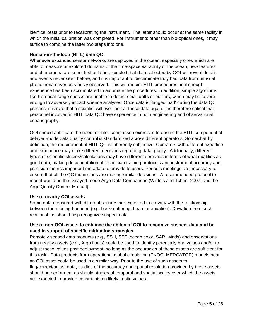identical tests prior to recalibrating the instrument. The latter should occur at the same facility in which the initial calibration was completed. For instruments other than bio-optical ones, it may suffice to combine the latter two steps into one.

### <span id="page-6-0"></span>**Human-in-the-loop (HITL) data QC**

Whenever expanded sensor networks are deployed in the ocean, especially ones which are able to measure unexplored domains of the time-space variability of the ocean, new features and phenomena are seen. It should be expected that data collected by OOI will reveal details and events never seen before, and it is important to discriminate truly bad data from unusual phenomena never previously observed. This will require HITL procedures until enough experience has been accumulated to automate the procedures. In addition, simple algorithms like historical-range checks are unable to detect small drifts or outliers, which may be severe enough to adversely impact science analyses. Once data is flagged 'bad' during the data QC process, it is rare that a scientist will ever look at those data again. It is therefore critical that personnel involved in HITL data QC have experience in both engineering and observational oceanography.

OOI should anticipate the need for inter-comparison exercises to ensure the HITL component of delayed-mode data quality control is standardized across different operators. Somewhat by definition, the requirement of HITL QC is inherently subjective. Operators with different expertise and experience may make different decisions regarding data quality. Additionally, different types of scientific studies/calculations may have different demands in terms of what qualifies as good data, making documentation of technician training protocols and instrument accuracy and precision metrics important metadata to provide to users. Periodic meetings are necessary to ensure that all the QC technicians are making similar decisions. A recommended protocol to model would be the Delayed-mode Argo Data Comparison (Wijffels and Tchen, 2007, and the Argo Quality Control Manual).

### <span id="page-6-1"></span>**Use of nearby OOI assets**

Some data measured with different sensors are expected to co-vary with the relationship between them being bounded (e.g. backscattering, beam attenuation). Deviation from such relationships should help recognize suspect data.

### <span id="page-6-2"></span>**Use of non-OOI assets to enhance the ability of OOI to recognize suspect data and be used in support of specific mitigation strategies**

Remotely sensed data products (e.g., SSH, SST, ocean color, SAR, winds) and observations from nearby assets (e.g., Argo floats) could be used to identify potentially bad values and/or to adjust these values post deployment, so long as the accuracies of these assets are sufficient for this task. Data products from operational global circulation (FNOC, MERCATOR) models near an OOI asset could be used in a similar way. Prior to the use of such assets to flag/correct/adjust data, studies of the accuracy and spatial resolution provided by these assets should be performed, as should studies of temporal and spatial scales over which the assets are expected to provide constraints on likely in-situ values.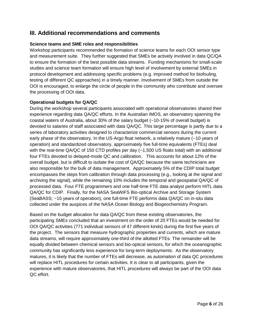### <span id="page-7-0"></span>**III. Additional recommendations and comments**

### <span id="page-7-1"></span>**Science teams and SME roles and responsibilities**

Workshop participants recommended the formation of science teams for each OOI sensor type and measurement suite. They further suggested that SMEs be actively involved in data QC/QA to ensure the formation of the best possible data streams. Funding mechanisms for small-scale studies and science team formation will ensure high level of involvement by external SMEs in protocol development and addressing specific problems (e.g. improved method for biofouling, testing of different QC approaches) in a timely manner. Involvement of SMEs from outside the OOI is encouraged, to enlarge the circle of people in the community who contribute and oversee the processing of OOI data.

### <span id="page-7-2"></span>**Operational budgets for QA/QC**

During the workshop several participants associated with operational observatories shared their experience regarding data QA/QC efforts. In the Australian IMOS, an observatory spanning the coastal waters of Australia, about 30% of the salary budget (~10-15% of overall budget) is devoted to salaries of staff associated with data QA/QC. This large percentage is partly due to a series of laboratory activities designed to characterize commercial sensors during the current early phase of the observatory. In the US-Argo float network, a relatively mature (~10 years of operation) and standardized observatory, approximately five full-time equivalents (FTEs) deal with the real-time QA/QC of 150 CTD profiles per day (~1,500 US floats total) with an additional four FTEs devoted to delayed-mode QC and calibration. This accounts for about 12% of the overall budget, but is difficult to isolate the cost of QA/QC because the same technicians are also responsible for the bulk of data management. Approximately 5% of the CDIP total budget encompasses the steps from calibration through data processing (e.g., looking at the signal and archiving the signal), while the remaining 10% includes the temporal and geospatial QA/QC of processed data. Four FTE programmers and one half-time FTE data analyst perform HITL data QA/QC for CDIP. Finally, for the NASA SeaWiFS Bio-optical Archive and Storage System (SeaBASS; ~15 years of operation), one full-time FTE performs data QA/QC on in-situ data collected under the auspices of the NASA Ocean Biology and Biogeochemistry Program.

Based on the budget allocation for data QA/QC from these existing observatories, the participating SMEs concluded that an investment on the order of 20 FTEs would be needed for OOI QA/QC activities (771 individual sensors of 47 different kinds) during the first five years of the project. The sensors that measure hydrographic properties and currents, which are mature data streams, will require approximately one-third of the allotted FTEs. The remainder will be equally divided between chemical sensors and bio-optical sensors, for which the oceanographic community has significantly less experience for long-term deployments. As the observatory matures, it is likely that the number of FTEs will decrease, as automation of data QC procedures will replace HITL procedures for certain activities. It is clear to all participants, given the experience with mature observatories, that HITL procedures will always be part of the OOI data QC effort.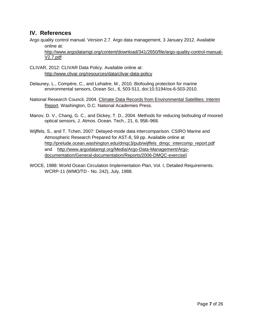### <span id="page-8-0"></span>**IV. References**

Argo quality control manual. Version 2.7. Argo data management, 3 January 2012. Available online at:

[http://www.argodatamgt.org/content/download/341/2650/file/argo-quality-control-manual-](http://www.argodatamgt.org/content/download/341/2650/file/argo-quality-control-manual-V2.7.pdf)[V2.7.pdf](http://www.argodatamgt.org/content/download/341/2650/file/argo-quality-control-manual-V2.7.pdf)

- CLIVAR, 2012: CLIVAR Data Policy. Available online at: <http://www.clivar.org/resources/data/clivar-data-policy>
- Delauney, L., Compère, C., and Lehaitre, M., 2010. Biofouling protection for marine environmental sensors, Ocean Sci., 6, 503-511, doi:10.5194/os-6-503-2010.
- National Research Council, 2004. [Climate Data Records from Environmental Satellites: Interim](http://www.nap.edu/catalog.php?record_id=10944)  [Report.](http://www.nap.edu/catalog.php?record_id=10944) Washington, D.C. National Academies Press.
- Manov, D. V., Chang, G. C., and Dickey, T. D., 2004. Methods for reducing biofouling of moored optical sensors, J. Atmos. Ocean. Tech., 21, 6, 958–968.
- Wijffels, S., and T. Tchen, 2007: Delayed-mode data intercomparison. CSIRO Marine and Atmospheric Research Prepared for AST-8, 59 pp. Available online at [http://prelude.ocean.washington.edu/dmqc3/pub/wijffels\\_dmqc\\_intercomp\\_report.pdf](http://prelude.ocean.washington.edu/dmqc3/pub/wijffels_dmqc_intercomp_report.pdf) and [http://www.argodatamgt.org/Media/Argo-Data-Management/Argo](http://www.argodatamgt.org/Media/Argo-Data-Management/Argo-documentation/General-documentation/Reports/2006-DMQC-exercise)[documentation/General-documentation/Reports/2006-DMQC-exercise\]](http://www.argodatamgt.org/Media/Argo-Data-Management/Argo-documentation/General-documentation/Reports/2006-DMQC-exercise)
- WOCE, 1988: World Ocean Circulation Implementation Plan, Vol. I, Detailed Requirements. WCRP-11 (WMO/TD - No. 242), July, 1988.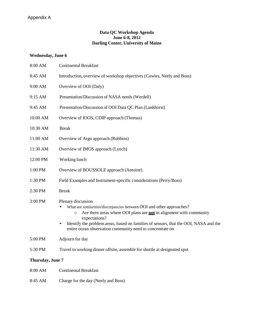### **Data QC Workshop Agenda June 6-8, 2012 Darling Center, University of Maine**

### **Wednesday, June 6**

| 8:00 AM          | <b>Continental Breakfast</b>                                                                                                                                                                                                                                                                                                                                            |  |
|------------------|-------------------------------------------------------------------------------------------------------------------------------------------------------------------------------------------------------------------------------------------------------------------------------------------------------------------------------------------------------------------------|--|
| 8:45 AM          | Introduction, overview of workshop objectives (Cowles, Neely and Boss)                                                                                                                                                                                                                                                                                                  |  |
| 9:00 AM          | Overview of OOI (Daly)                                                                                                                                                                                                                                                                                                                                                  |  |
| 9:15 AM          | Presentation/Discussion of NASA needs (Werdell)                                                                                                                                                                                                                                                                                                                         |  |
| 9:45 AM          | Presentation/Discussion of OOI Data QC Plan (Lankhorst)                                                                                                                                                                                                                                                                                                                 |  |
| 10:00 AM         | Overview of IOOS, CDIP approach (Thomas)                                                                                                                                                                                                                                                                                                                                |  |
| 10:30 AM         | <b>Break</b>                                                                                                                                                                                                                                                                                                                                                            |  |
| 11:00 AM         | Overview of Argo approach (Robbins)                                                                                                                                                                                                                                                                                                                                     |  |
| 11:30 AM         | Overview of IMOS approach (Lynch)                                                                                                                                                                                                                                                                                                                                       |  |
| 12:00 PM         | Working lunch                                                                                                                                                                                                                                                                                                                                                           |  |
| 1:00 PM          | Overview of BOUSSOLE approach (Antoine)                                                                                                                                                                                                                                                                                                                                 |  |
| 1:30 PM          | Field Examples and Instrument-specific considerations (Perry/Boss)                                                                                                                                                                                                                                                                                                      |  |
| 2:30 PM          | <b>Break</b>                                                                                                                                                                                                                                                                                                                                                            |  |
| 3:00 PM          | Plenary discussion<br>What are similarities/discrepancies between OOI and other approaches?<br>Are there areas where OOI plans are <b>not</b> in alignment with community<br>$\circ$<br>expectations?<br>Identify the problem areas, based on families of sensors, that the OOI, NASA and the<br>$\bullet$<br>entire ocean observation community need to concentrate on |  |
| 5:00 PM          | Adjourn for day                                                                                                                                                                                                                                                                                                                                                         |  |
| 5:30 PM          | Travel to working dinner offsite, assemble for shuttle at designated spot                                                                                                                                                                                                                                                                                               |  |
| Thursday, June 7 |                                                                                                                                                                                                                                                                                                                                                                         |  |
| 8:00 AM          | <b>Continental Breakfast</b>                                                                                                                                                                                                                                                                                                                                            |  |
| 8:45 AM          | Charge for the day (Neely and Boss)                                                                                                                                                                                                                                                                                                                                     |  |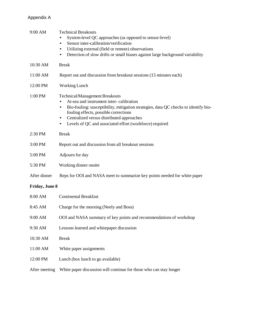### Appendix A

| 9:00 AM               | <b>Technical Breakouts</b><br>System-level QC approaches (as opposed to sensor-level)<br>Sensor inter-calibration/verification<br>٠<br>Utilizing external (field or remote) observations<br>$\bullet$<br>Detection of slow drifts or small biases against large background variability<br>$\bullet$                                                |
|-----------------------|----------------------------------------------------------------------------------------------------------------------------------------------------------------------------------------------------------------------------------------------------------------------------------------------------------------------------------------------------|
| 10:30 AM              | <b>Break</b>                                                                                                                                                                                                                                                                                                                                       |
| 11:00 AM              | Report out and discussion from breakout sessions (15 minutes each)                                                                                                                                                                                                                                                                                 |
| 12:00 PM              | Working Lunch                                                                                                                                                                                                                                                                                                                                      |
| 1:00 PM               | <b>Technical/Management Breakouts</b><br>At-sea and instrument inter-calibration<br>Bio-fouling: susceptibility, mitigation strategies, data QC checks to identify bio-<br>fouling effects, possible corrections<br>Centralized versus distributed approaches<br>$\bullet$<br>Levels of QC and associated effort (workforce) required<br>$\bullet$ |
| 2:30 PM               | <b>Break</b>                                                                                                                                                                                                                                                                                                                                       |
| 3:00 PM               | Report out and discussion from all breakout sessions                                                                                                                                                                                                                                                                                               |
| 5:00 PM               | Adjourn for day                                                                                                                                                                                                                                                                                                                                    |
| 5:30 PM               | Working dinner onsite                                                                                                                                                                                                                                                                                                                              |
| After dinner          | Reps for OOI and NASA meet to summarize key points needed for white paper                                                                                                                                                                                                                                                                          |
| <b>Friday, June 8</b> |                                                                                                                                                                                                                                                                                                                                                    |
| 8:00 AM               | <b>Continental Breakfast</b>                                                                                                                                                                                                                                                                                                                       |
| 8:45 AM               | Charge for the morning (Neely and Boss)                                                                                                                                                                                                                                                                                                            |
| 9:00 AM               | OOI and NASA summary of key points and recommendations of workshop                                                                                                                                                                                                                                                                                 |
| 9:30 AM               | Lessons learned and whitepaper discussion                                                                                                                                                                                                                                                                                                          |
| 10:30 AM              | <b>Break</b>                                                                                                                                                                                                                                                                                                                                       |
| 11:00 AM              | White paper assignments                                                                                                                                                                                                                                                                                                                            |
| 12:00 PM              | Lunch (box lunch to go available)                                                                                                                                                                                                                                                                                                                  |
| After meeting         | White paper discussion will continue for those who can stay longer                                                                                                                                                                                                                                                                                 |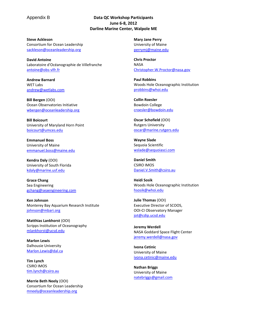### Appendix B **Data QC Workshop Participants June 6-8, 2012 Darline Marine Center, Walpole ME**

**Steve Ackleson** Consortium for Ocean Leadership [sackleson@oceanleadership.org](mailto:sackleson@oceanleadership.org)

**David Antoine** Laboratoire d'Océanographie de Villefranche [antoine@obs-vlfr.fr](mailto:antoine@obs-vlfr.fr)

**Andrew Barnard** WET Labs [andrew@wetlabs.com](mailto:andrew@wetlabs.com)

**Bill Bergen** (OOI) Ocean Observatories Initiative [wbergen@oceanleadership.org](mailto:wbergen@oceanleadership.org)

**Bill Boicourt** University of Maryland Horn Point [boicourt@umces.edu](mailto:boicourt@umces.edu)

**Emmanuel Boss** University of Maine [emmanuel.boss@maine.edu](mailto:emmanuel.boss@maine.edu)

**Kendra Daly** (OOI) University of South Florida [kdaly@marine.usf.edu](mailto:kdaly@marine.usf.edu)

**Grace Chang** Sea Engineering [gchang@seaengineering.com](mailto:gchang@seaengineering.com)

**Ken Johnson** Monterey Bay Aquarium Research Institute [johnson@mbari.org](mailto:johnson@mbari.org)

**Matthias Lankhorst** (OOI) Scripps Institution of Oceanography [mlankhorst@ucsd.edu](mailto:mlankhorst@ucsd.edu)

**Marlon Lewis** Dalhousie University [Marlon.Lewis@dal.ca](mailto:Marlon.Lewis@dal.ca)

**Tim Lynch** CSIRO IMOS [tim.lynch@csiro.au](mailto:tim.lynch@csiro.au)

**Merrie Beth Neely** (OOI) Consortium for Ocean Leadership [mneely@oceanleadership.org](mailto:mneely@oceanleadership.org)

**Mary Jane Perry** University of Maine [perrymj@maine.edu](mailto:perrymj@maine.edu)

**Chris Proctor NASA** [Christopher.W.Proctor@nasa.gov](mailto:Christopher.W.Proctor@nasa.gov)

**Paul Robbins**  Woods Hole Oceanographic Institution [probbins@whoi.edu](mailto:probbins@whoi.edu)

**Collin Roesler**  Bowdoin College [croesler@bowdoin.edu](mailto:croesler@bowdoin.edu)

**Oscar Schofield** (OOI) Rutgers University [oscar@marine.rutgers.edu](mailto:oscar@marine.rutgers.edu)

**Wayne Slade** Sequoia Scientific [wslade@sequoiasci.com](mailto:wslade@sequoiasci.com)

**Daniel Smith** CSIRO IMOS [Daniel.V.Smith@csiro.au](mailto:Daniel.V.Smith@csiro.au)

**Heidi Sosik** Woods Hole Oceanographic Institution [hsosik@whoi.edu](mailto:hsosik@whoi.edu)

**Julie Thomas** (OOI) Executive Director of SCOOS, OOI-CI Observatory Manager [jot@cdip.ucsd.edu](mailto:jot@cdip.ucsd.edu)

**Jeremy Werdell** NASA Goddard Space Flight Center [jeremy.werdell@nasa.gov](mailto:jeremy.werdell@nasa.gov)

**Ivona Cetinic** University of Maine [ivona.cetinic@maine.edu](mailto:ivona.cetinic@maine.edu)

**Nathan Briggs** University of Maine [natebriggs@gmail.com](mailto:natebriggs@gmail.com)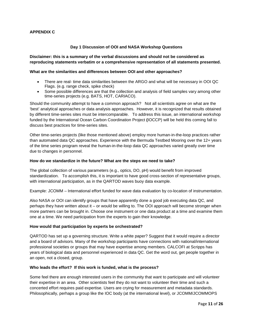### **APPENDIX C**

#### **Day 1 Discussion of OOI and NASA Workshop Questions**

#### **Disclaimer: this is a summary of the verbal discussions and should not be considered as reproducing statements verbatim or a comprehensive representation of all statements presented.**

#### **What are the similarities and differences between OOI and other approaches?**

- There are real- time data similarities between the ARGO and what will be necessary in OOI QC Flags. (e.g. range check, spike check)
- Some possible differences are that the collection and analysis of field samples vary among other time-series projects (e.g. BATS, HOT, CARIACO).

Should the community attempt to have a common approach? Not all scientists agree on what are the 'best' analytical approaches or data analysis approaches. However, it is recognized that results obtained by different time-series sites must be intercomparable. To address this issue, an international workshop funded by the International Ocean Carbon Coordination Project **(**IOCCP) will be held this coming fall to discuss best practices for time-series sites.

Other time-series projects (like those mentioned above) employ more human-in-the-loop practices rather than automated data QC approaches. Experience with the Bermuda Testbed Mooring over the 12+ years of the time series program reveal the human-in-the-loop data QC approaches varied greatly over time due to changes in personnel.

#### **How do we standardize in the future? What are the steps we need to take?**

The global collection of various parameters (e.g., optics, DO, pH) would benefit from improved standardization. To accomplish this, it is important to have good cross-section of representative groups, with international participation, as in the QARTOD waves buoy data example.

Example: JCOMM – International effort funded for wave data evaluation by co-location of instrumentation.

Also NASA or OOI can identify groups that have apparently done a good job executing data QC, and perhaps they have written about it – or would be willing to. The OOI approach will become stronger when more partners can be brought in. Choose one instrument or one data product at a time and examine them one at a time. We need participation from the experts to gain their knowledge.

#### **How would that participation by experts be orchestrated?**

QARTOD has set up a governing structure. Write a white paper? Suggest that it would require a director and a board of advisors. Many of the workshop participants have connections with national/international professional societies or groups that may have expertise among members. CALCOFI at Scripps has years of biological data and personnel experienced in data QC. Get the word out, get people together in an open, not a closed, group.

#### **Who leads the effort? If this work is funded, what is the process?**

Some feel there are enough interested users in the community that want to participate and will volunteer their expertise in an area. Other scientists feel they do not want to volunteer their time and such a concerted effort requires paid expertise. Users are crying for measurement and metadata standards. Philosophically, perhaps a group like the IOC body (at the international level), or JCOMM/JCOMMOPS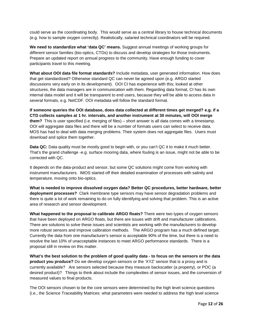could serve as the coordinating body. This would serve as a central library to house technical documents (e.g. how to sample oxygen correctly). Realistically, salaried technical coordinators will be required.

**We need to standardize what 'data QC' means.** Suggest annual meetings of working groups for different sensor families (bio-optics, CTDs) to discuss and develop strategies for those instruments. Prepare an updated report on annual progress to the community. Have enough funding to cover participants travel to this meeting.

**What about OOI data file format standards?** Include metadata, user generated information. How does that get standardized? Otherwise standard QC can never be agreed upon (e.g. ARGO started discussions very early on in its development). OOI CI has experience with this; looked at other structures, the data managers are in communication with them. Regarding data format, CI has its own internal data model and it will be transparent to end users, because they will be able to access data in several formats, e.g. NetCDF. OOI metadata will follow the standard format.

**If someone queries the OOI database, does data collected at different times get merged? e.g. if a CTD collects samples at 1 hr. intervals, and another instrument at 30 minutes, will OOI merge them?** This is user specified (i.e. merging of files) – short answer is all data comes with a timestamp. OOI will aggregate data files and there will be a number of formats users can select to receive data. MOS has had to deal with data merging problems. Their system does not aggregate files. Users must download and splice them together.

**Data QC:** Data quality must be mostly good to begin with, or you can't QC it to make it much better. That's the grand challenge -e.g. surface mooring data, where fouling is an issue, might not be able to be corrected with QC.

It depends on the data-product and sensor, but some QC solutions might come from working with instrument manufacturers. IMOS started off their detailed examination of processes with salinity and temperature, moving onto bio-optics.

**What is needed to improve dissolved oxygen data? Better QC procedures, better hardware, better deployment processes?** Clark membrane type sensors may have sensor degradation problems and there is quite a lot of work remaining to do on fully identifying and solving that problem. This is an active area of research and sensor development.

**What happened to the proposal to calibrate ARGO floats?** There were two types of oxygen sensors that have been deployed on ARGO floats, but there are issues with drift and manufacturer calibrations. There are solutions to solve these issues and scientists are working with the manufacturers to develop more robust sensors and improve calibration methods. The ARGO program has a much defined target. Currently the data from one manufacturer's sensor is acceptable 90% of the time, but there is a need to resolve the last 10% of unacceptable instances to meet ARGO performance standards. There is a proposal still in review on this matter.

**What's the best solution to the problem of good quality data - to focus on the sensors or the data product you produce?** Do we develop oxygen sensors or the 'XYZ' sensor that is a proxy and is currently available? Are sensors selected because they measure backscatter (a property), or POC (a desired product)? Things to think about include the complexities of sensor issues, and the conversion of measured values to final products.

The OOI sensors chosen to be the core sensors were determined by the high level science questions (i.e., the Science Traceability Matrices: what parameters were needed to address the high level science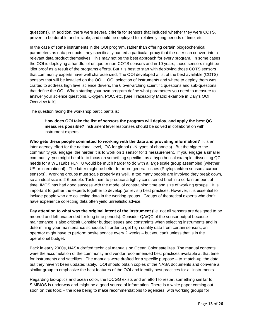questions). In addition, there were several criteria for sensors that included whether they were COTS, proven to be durable and reliable, and could be deployed for relatively long periods of time, etc.

In the case of some instruments in the OOI program, rather than offering certain biogeochemical parameters as data products, they specifically named a particular proxy that the user can convert into a relevant data product themselves. This may not be the best approach for every program. In some cases the OOI is deploying a handful of unique or non-COTS sensors and in 10 years, those sensors might be idiot proof as a result of the programs efforts. But it is best to start with deploying those COTS sensors that community experts have well characterized. The OOI developed a list of the best available (COTS) sensors that will be installed on the OOI. OOI selection of instruments and where to deploy them was crafted to address high level science drivers, the 6 over-arching scientific questions and sub-questions that define the OOI. When starting your own program define what parameters you need to measure to answer your science questions. Oxygen, POC, etc. [See Traceability Matrix example in Daly's OOI Overview talk]

The question facing the workshop participants is:

**How does OOI take the list of sensors the program will deploy, and apply the best QC measures possible?** Instrument level responses should be solved in collaboration with instrument experts.

**Who gets these people committed to working with the data and providing information?** It is an inter-agency effort for the national level, IOC for global (UN types of channels). But the bigger the community you engage, the harder it is to work on 1 sensor for 1 measurement. If you engage a smaller community, you might be able to focus on something specific - as a hypothetical example, dissecting QC needs for a WETLabs FLNTU would be much harder to do with a large scale group assembled (whether US or international). The latter might be better for more general issues (Phytoplankton sensors, carbon sensors). Working groups must scale properly as well. If too many people are involved they break down, so an ideal size is 2-6 people. Task them to produce a tightly constrained brief in a certain amount of time. IMOS has had good success with the model of constraining time and size of working groups. It is important to gather the experts together to develop (or revisit) best practices. However, it is essential to include people who are collecting data in the working groups. Groups of theoretical experts who don't have experience collecting data often yield unrealistic advice.

**Pay attention to what was the original intent of the instrument** (i.e. not all sensors are designed to be moored and left unattended for long time periods). Consider QA/QC of the sensor output because maintenance is also critical! Consider budget issues and constraints when selecting instruments and in determining your maintenance schedule. In order to get high quality data from certain sensors, an operator might have to perform onsite service every 2 weeks – but you can't unless that is in the operational budget.

Back in early 2000s, NASA drafted technical manuals on Ocean Color satellites. The manual contents were the accumulation of the community and vendor recommended best practices available at that time for instruments and satellites. The manuals were drafted for a specific purpose – to 'match-up' the data, but they haven't been updated lately. OOI should obtain copies of the NASA documents and convene a similar group to emphasize the best features of the OOI and identify best practices for all instruments.

Regarding bio-optics and ocean color, the IOCGG exists and an effort to restart something similar to SIMBIOS is underway and might be a good source of information. There is a white paper coming out soon on this topic – the idea being to make recommendations to agencies, with working groups for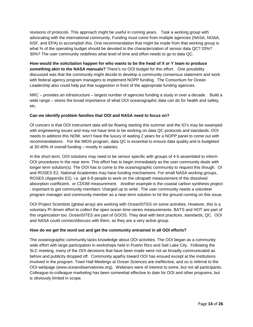revisions of protocols. This approach might be useful in coming years. Task a working group with advocating with the international community. Funding must come from multiple agencies (NASA, NOAA, NSF, and EPA) to accomplish this. One recommendation that might be made from that working group is what % of the operating budget should be devoted to the characterization of sensor data QC? 20%? 30%? The user community redefines what level of time and effort needs to go to data QC.

**How would the solicitation happen for who wants to be the head of X or Y team to produce something akin to the NASA manuals?** There's no OOI budget for this effort. One possibility discussed was that the community might decide to develop a community consensus statement and work with federal agency program managers to implement NOPP funding. The Consortium for Ocean Leadership also could help put that suggestion in front of the appropriate funding agencies.

NRC – provides an infrastructure – largest number of agencies funding a study in over a decade. Build a wide range – stress the broad importance of what OOI oceanographic data can do for health and safety, etc.

### **Can we identify problem families that OOI and NASA need to focus on?**

Of concern is that OOI instrument data will be flowing starting this summer and the IO's may be swamped with engineering issues and may not have time to be working on data QC protocols and standards. OOI needs to address this NOW, won't have the luxury of waiting 2 years for a NOPP panel to come out with recommendations. For the IMOS program, data QC is essential to ensure data quality and is budgeted at 30-40% of overall funding – mostly in salaries.

In the short term, OOI solutions may need to be sensor specific with groups of 4-5 assembled to inform OOI procedures in the near term. This effort has to begin immediately as the user community deals with longer term solution(s). The OOI has to come to the oceanographic community to request this though. OI and ROSES E2, National Academies may have funding mechanisms. For small NASA working groups, ROSES (Appendix E2). i.e. get 6-8 people to work on the ultrapath measurement of the dissolved absorption coefficient, or CDOM measurement. Another example is the coastal carbon synthesis project - important to get community members 'charged up to write'. The user community needs a volunteer program manager and community member as a near-term solution to hit the ground running on this issue.

OOI Project Scientists (global array) are working with OceanSITES on some activities. However, this is a voluntary PI driven effort to collect the open ocean time-series measurements. BATS and HOT are part of this organization too. OceanSITES are part of GOOS. They deal with best practices, standards, QC. OOI and NASA could connect/discuss with them, as they are a very active group.

### **How do we get the word out and get the community entrained in all OOI efforts?**

The oceanographic community lacks knowledge about OOI activities. The OOI began as a community wide effort with large participation in workshops held in Puerto Rico and Salt Lake City. Following the SLC meeting, many of the OOI decisions that have been made were not as broadly communicated as before and publicity dropped off. Community apathy toward OOI has ensued except at the institutions involved in the program. Town Hall Meetings at Ocean Sciences are ineffective, and so is referral to the OOI webpage (www.oceanobservatories.org). Webinars were of interest to some, but not all participants. Colleague-to-colleague marketing has been somewhat effective to date for OOI and other programs, but is obviously limited in scope.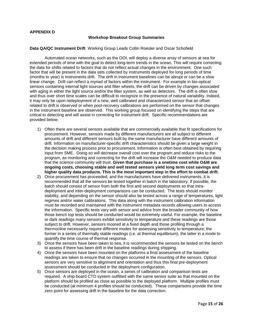#### **Workshop Breakout Group Summaries**

#### **Data QA/QC Instrument Drift** Working Group Leads Collin Roesler and Oscar Schofield

Automated ocean networks, such as the OOI, will deploy a diverse array of sensors at sea for extended periods of time with the goal to detect long-term trends in the ocean. This will require correcting the data for shifts related to factors that do not reflect actual changes in the environment. One such factor that will be present in the data sets collected by instruments deployed for long periods of time (months to year) is instruments drift. The drift in instrument baselines can be abrupt or can be a slow linear change. Drift can reflect a myriad of factors within the instrument. For example in bio-optical sensors containing internal light sources and filter wheels, the drift can be driven by changes associated with aging in either the light source and/or the filter system, as well as detectors. The drift is often slow and thus over short time scales can be difficult to recognize in the presence of natural variability. Indeed, it may only be upon redeployment of a new, well calibrated and characterized sensor that an offset related to drift is observed or when post-recovery calibrations are performed on the sensor that changes in the instrument baseline are observed. This working group focused on identifying the steps that are critical to detecting and will assist in correcting for instrument drift. Specific recommendations are provided below.

- 1) Often there are several sensors available that are commercially available that fit specifications for procurement. However, sensors made by different manufacturers are all subject to different amounts of drift and different sensors built by the same manufacturer have different amounts of drift. Information on manufacturer-specific drift characteristics should be given a large weight in the decision making process prior to procurement. Information is often best obtained by requiring input from SME. Doing so will decrease overall cost over the program and reduce risks to the program, as monitoring and correcting for the drift will increase the O&M needed to produce data that the science community will trust. **Given that purchase is a onetime cost while O&M are ongoing costs, choosing stable and well tested sensors yield long term cost savings and higher quality data products. This is the most important step in the effort to combat drift.**
- 2) Once procurement has proceeded, and the manufacturers have delivered instruments, it is recommended that all the sensors be tested together in batch in the laboratory. If possible, the batch should consist of sensor from both the first and second deployments so that intradeployment and inter-deployment comparisons can be conducted. The tests should monitor stability, and depending on the sensor should also be tested across a range of temperatures, light regimes and/or water calibrations. This data along with the instrument calibration information must be recorded and maintained with the instrument metadata records allowing users to access the information. Specific tests vary with sensor and advice from the broader community of how those bench top tests should be conducted would be extremely useful. For example, the baseline or dark readings many sensors exhibit sensitivity to temperature and these readings are those subject to drift. However, sensors moored at a fixed depth and those profiling through a thermocline necessarily require different modes for assessing sensitivity to temperature; the former in a series of thermally stable readings (i.e. at thermal equilibrium), the latter in a mode to quantify the time course of thermal response.
- 3) Once the sensors have been taken to sea, it is recommended the sensors be tested on the bench to assess if there has been drift in the baseline readings during shipping.
- 4) Once the sensors have been mounted on the platforms a final assessment of the baseline readings are taken to ensure that no changes occurred in the mounting of the sensors. Optical sensors are very sensitive to alignment and orientation and thus this final pre-deployment assessment should be conducted in the deployment configuration.
- 5) Once sensors are deployed in the ocean, a series of calibration and comparison tests are required. A ship-board CTD system outfitted with the same sensor suite as that mounted on the platform should be profiled as close as possible to the deployed platform. Multiple profiles must be conducted (at minimum 4 profiles should be conducted). These comparisons provide the time zero point for assessing drift in the baseline for the data correction.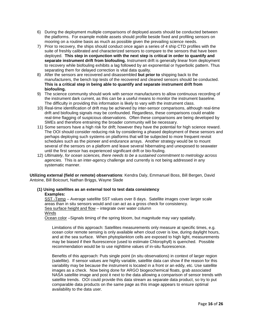- 6) During the deployment multiple comparisons of deployed assets should be conducted between the platforms. For example mobile assets should profile beside fixed and profiling sensors on mooring on a routine basis as much as possible given the prevailing science needs.
- 7) Prior to recovery, the ships should conduct once again a series of 4 ship CTD profiles with the suite of freshly calibrated and characterized sensors to compare to the sensors that have been deployed. **This step in conjunction with the next step is critical in order to quantify and separate instrument drift from biofouling.** Instrument drift is generally linear from deployment to recovery while biofouling exhibits a lag followed by an exponential or hyperbolic pattern. Thus separating them for delayed correction is vital data quality.
- 8) After the sensors are recovered and disassembled **but prior to** shipping back to the manufacturers, the bench top tests of the recovered and cleaned sensors should be conducted. **This is a critical step in being able to quantify and separate instrument drift from biofouling.**
- 9) The science community should work with sensor manufacturers to allow continuous recording of the instrument dark current, as this can be a useful means to monitor the instrument baseline. The difficulty in providing this information is likely to vary with the instrument class.
- 10) Real-time identification of drift may be achieved by inter-sensor comparisons, although real-time drift and biofouling signals may be confounded. Regardless, these comparisons could enable real-time flagging of suspicious observations. Often these comparisons are being developed by SMEs and therefore entraining the broader community will be necessary.
- 11) Some sensors have a high risk for drift; however they have the potential for high science reward. The OOI should consider reducing risk by considering a phased deployment of these sensors and perhaps deploying such systems on platforms that will be subjected to more frequent revisit schedules such as the pioneer and endurance arrays. Another strategy would be to mount several of the sensors on a platform and leave several hibernating and unexposed to seawater until the first sensor has experienced significant drift or bio-fouling.
- 12) *Ultimately, for ocean sciences, there needs to be a sustained commitment to metrology across agencies.* This is an inter-agency challenge and currently is not being addressed in any systematic manner.

**Utilizing external (field or remote) observations**: Kendra Daly, Emmanuel Boss, Bill Bergen, David Antoine, Bill Boicourt, Nathan Briggs, Wayne Slade

#### **(1) Using satellites as an external tool to test data consistency Examples:**

SST -Temp - Average satellite SST values over 8 days. Satellite images cover larger scale areas than in situ sensors would and can act as a gross check for consistency. Sea surface height and flow – integrate over water column Winds

Ocean color –Signals timing of the spring bloom, but magnitude may vary spatially.

Limitations of this approach: Satellites measurements only measure at specific times, e.g. ocean color remote sensing is only available when cloud cover is low, during daylight hours, and at the sea surface. When phytoplankton cells are exposed to high light, measurements may be biased if their fluorescence (used to estimate Chlorophyll) is quenched. Possible recommendation would be to use nighttime values of in-situ fluorescence.

Benefits of this approach: Puts single point (in situ observations) in context of larger region (satellite). If sensor values are highly variable, satellite data can show if the reason for this variability may be because the instrument is located in a front or an eddy, etc. Use satellite images as a check. Now being done for ARGO biogeochemical floats, grab associated NASA satellite image and post it next to the data allowing a comparison of sensor trends with satellite trends. OOI could provide this data stream as separate data product, so try to put comparable data products on the same page as this image appears to ensure optimal availability to the data user.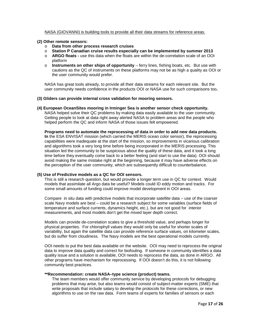#### NASA (GIOVANNI) is building tools to provide all their data streams for reference areas.

#### **(2) Other remote sensors:**

- o **Data from other process research cruises**
- o **Station P Canadian cruise results especially can be implemented by summer 2013**
- o **ARGO floats -** use this data when the floats are within the de-correlation scale of an OOI platform
- o **Instruments on other ships of opportunity**  ferry lines, fishing boats, etc. But use with cautions as the QC of instruments on these platforms may not be as high a quality as OOI or the user community would prefer.

NASA has great tools already, to provide all their data streams for each relevant site. But the user community needs confidence in the products OOI or NASA use for such comparisons too**.** 

#### **(3) Gliders can provide internal cross validation for mooring sensors.**

**(4) European OceanSites mooring in Irminger Sea is another sensor check opportunity.** NASA helped solve their QC problems by making data easily available to the user community. Getting people to look at data right away alerted NASA to problem areas and the people who helped perform the QC and inform NASA of those issues felt empowered.

**Programs need to automate the reprocessing of data in order to add new data products. In** the ESA ENVISAT mission (which carried the MERIS ocean color sensor), the reprocessing capabilities were inadequate at the start of the mission, so improvements in vicarious calibration and algorithms took a very long time before being incorporated in the MERIS processing. This situation led the community to be suspicious about the quality of these data, and it took a long time before they eventually come back to a better feeling (and start to use the data). OOI should avoid making the same mistake right at the beginning, because it may have adverse effects on the perception of the user community, which are subsequently difficult to counterbalance.

#### **(5) Use of Predictive models as a QC for OOI sensors.**

This is still a research question, but would provide a longer term use in QC for context. Would models that assimilate all Argo data be useful? Models could ID eddy motion and tracks. For some small amounts of funding could improve model development in OOI areas.

Compare in situ data with predictive models that incorporate satellite data – use of the coarser scale Navy models are best – could be a research subject for some variables (surface fields of temperature and surface currents, dynamics height, etc.), but are not good for interior measurements, and most models don't get the mixed layer depth correct.

Models can provide de-correlation scales to give a threshold value, and perhaps longer for physical properties. For chlorophyll values they would only be useful for shorter scales of variability, but again the satellite data can provide reference surface values, on kilometer scales, but do suffer from cloudiness. The Navy models are the best operational models currently.

OOI needs to put the best data available on the website. OOI may need to reprocess the original data to improve data quality and correct for biofouling. If someone in community identifies a data quality issue and a solution is available, OOI needs to reprocess the data, as done in ARGO. All other programs have mechanism for reprocessing. If OOI doesn't do this, it is not following community best practices.

#### **\*\*Recommendation: create NASA–type science (product) teams.**

The team members would offer community service by developing protocols for debugging problems that may arise, but also teams would consist of subject-matter experts (SME) that write proposals that include salary to develop the protocols for these corrections, or new algorithms to use on the raw data. Form teams of experts for families of sensors or each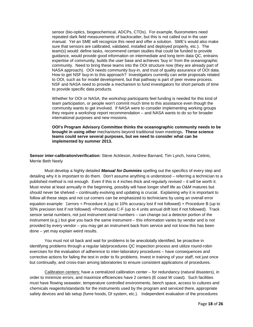sensor (bio-optics, biogeochemical, ADCPs, CTDs). For example, fluorometers need repeated dark field measurements of backscatter, but this is not called out in the user manual. Yet an SME will recognize this need and offer a solution. SME's would also make sure that sensors are calibrated, validated, installed and deployed properly, etc.). The team(s) would: define tasks, recommend certain studies that could be funded to provide guidance, would provide good information on intermediate and long term data QC, entrains expertise of community, builds the user base and achieves 'buy in' from the oceanographic community. Need to bring these teams into the OOI structure now (they are already part of NASA approach). OOI needs community buy-in, and trust of quality assurance of OOI data. How to get NSF buy-in to this approach? Investigators currently can write proposals related to OOI, such as for model development, but that pathway is part of peer review process. NSF and NASA need to provide a mechanism to fund investigators for short periods of time to provide specific data products.

Whether for OOI or NASA, the workshop participants feel funding is needed for this kind of team participation, or people won't commit much time to this assistance even though the community wants to get involved. If NASA were to consider implementing working groups they require a workshop report recommendation – and NASA wants to do so for broader international purposes and new missions.

**OOI's Program Advisory Committee thinks the oceanographic community needs to be brought in using other** mechanisms beyond traditional town meetings**. These science teams could serve several purposes, but we need to consider what can be implemented by summer 2013.**

**Sensor inter-calibration/verification:** Steve Ackleson, Andrew Barnard, Tim Lynch, Ivona Cetinic, Merrie Beth Neely

Must develop a highly detailed *Manual for Dummies* spelling out the specifics of every step and detailing why it is important to do them. Don't assume anything is understood – referring a technician to a published method is not enough. Even if this is 4 inches thick and regularly revised – it will be worth it. Must revise at least annually in the beginning, possibly will have longer shelf life as O&M matures but should never be shelved – continually evolving and updating is crucial. Explaining why it is important to follow all these steps and not cut corners can be emphasized to technicians by using an overall error equation example: Σerrors = Procedure A (up to 10% accuracy lost if not followed) + Procedure B (up to 50% precision lost if not followed) +Procedures C-F (up to 4 units annual drift lost if not followed). Track sensor serial numbers, not just instrument serial numbers – can change out a detector portion of the instrument (e.g.) but give you back the same instrument – this information varies by vendor and is not provided by every vendor – you may get an instrument back from service and not know this has been done – yet may explain weird results.

You must not sit back and wait for problems to be anecdotally identified, be proactive in identifying problems through a regular lab/procedures QC inspection process and utilize round-robin exercises for the evaluation of adherence to inter-laboratory procedures – have consequences and corrective actions for failing the test in order to fix problems. Invest in training of your staff, not just once but continually, and cross-train among laboratories to ensure consistent applications of procedures.

Calibration centers: have a centralized calibration center – for redundancy (natural disasters), in order to minimize errors, and maximize efficiencies have 2 centers (E coast W coast). Such facilities must have flowing seawater, temperature controlled environments, bench space, access to cultures and chemicals reagents/standards for the instruments used by the program and serviced there, appropriate safety devices and lab setup (fume hoods, DI system, etc.). Independent evaluation of the procedures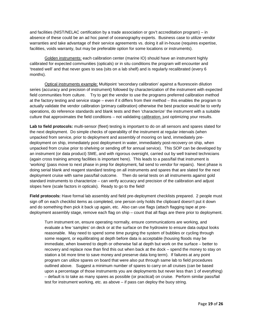and facilities (NIST/NELAC certification by a trade association or gov't accreditation program) – in absence of these could be an ad hoc panel of oceanography experts. Business case to utilize vendor warranties and take advantage of their service agreements vs. doing it all in-house (requires expertise, facilities, voids warranty, but may be preferable option for some locations or instruments).

Golden instruments: each calibration center (marine IO) should have an instrument highly calibrated for expected communities (opticals) or in situ conditions the program will encounter and 'treated well' and that never goes to sea (sits on a lab shelf) and is regularly recalibrated (every 6 months).

Optical instruments example: Multipoint 'secondary calibration' against a fluorescein dilution series (accuracy and precision of instrument) followed by characterization of the instrument with expected field communities from culture. Try to get the vendor to use the programs preferred calibration method at the factory testing and service stage – even if it differs from their method – this enables the program to actually validate the vendor calibration (primary calibration) otherwise the best practice would be to verify operations, do reference standards and blank tests and then 'characterize' the instrument with a suitable culture that approximates the field conditions – not validating calibration, just optimizing your results.

**Lab to field protocols:** multi-sensor (fleet) testing is important to do on all sensors and spares slated for the next deployment. Do simple checks of operability of the instrument at regular intervals (when unpacked from service, prior to deployment and assembly of mooring on land, immediately predeployment on ship, immediately post deployment in water, immediately post-recovery on ship, when unpacked from cruise prior to shelving or sending off for annual service). This SOP can be developed by an instrument (or data product) SME, and with rigorous oversight, carried out by well trained technicians (again cross training among facilities is important here). This leads to a pass/fail that instrument is 'working' (pass move to next phase in prep for deployment, fail send to vendor for repairs). Next phase is doing serial blank and reagent standard testing on all instruments and spares that are slated for the next deployment cruise with same pass/fail outcome. Then do serial tests on all instruments against gold standard instruments to characterize – can verify accuracy and precision of the calibration and adjust slopes here (scale factors in opticals). Ready to go to the field!

**Field protocols:** Have formal lab assembly and field pre-deployment checklists prepared. 2 people must sign off on each checklist items as completed, one person only holds the clipboard doesn't put it down and do something then pick it back up again, etc. Also can use flags (attach flagging tape at predeployment assembly stage, remove each flag on ship – count that all flags are there prior to deployment.

Turn instrument on, ensure operating normally, ensure communications are working, and evaluate a few 'samples' on deck or at the surface on the hydrowire to ensure data output looks reasonable. May need to spend some time purging the system of bubbles or cycling through some reagent, or equilibrating at depth before data is acceptable (housing floods may be immediate, when lowered to depth or otherwise fail at depth but work on the surface – better to recovery and replace now than find this out when back at the dock – spend the money to stay on station a bit more time to save money and preserve data long term). If failures at any point program can utilize spares on board that were also put through same lab to field procedures outlined above. Suggest a minimum number of spares to carry on all cruises (can be based upon a percentage of those instruments you are deployments but never less than 1 of everything) – default is to take as many spares as possible (or practical) on cruise. Perform similar pass/fail test for instrument working, etc. as above – if pass can deploy the buoy string.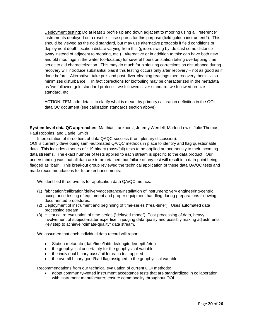Deployment testing: Do at least 1 profile up and down adjacent to mooring using all 'reference' instruments deployed on a rosette – use spares for this purpose (field golden instrument?). This should be viewed as the gold standard, but may use alternative protocols if field conditions or deployment depth location dictate varying from this (gliders swing by, do cast some distance away instead of adjacent to mooring, etc.). Alternative or in addition to this: can have both new and old moorings in the water (co-located) for several hours on station taking overlapping time series to aid characterization. This may do much for biofouling corrections as disturbance during recovery will introduce substantial bias if this testing occurs only after recovery – not as good as if done before. Alternative; take pre- and post-diver-cleaning readings then recovery them – also minimizes disturbance. In fact corrections for biofouling may be characterized in the metadata as 'we followed gold standard protocol', we followed silver standard, we followed bronze standard, etc.

ACTION ITEM: add details to clarify what is meant by primary calibration definition in the OOI data QC document (see calibration standards section above).

**System-level data QC approaches:** Matthias Lankhorst, Jeremy Werdell, Marlon Lewis, Julie Thomas, Paul Robbins, and Daniel Smith

Interpretation of three tiers of data QAQC success (from plenary discussion):

OOI is currently developing semi-automated QA/QC methods in place to identify and flag questionable data. This includes a series of ~19 binary (pass/fail) tests to be applied autonomously to their incoming data streams. The exact number of tests applied to each stream is specific to the data product. Our understanding was that all data are to be retained, but failure of any test will result in a data point being flagged as "bad". This breakout group reviewed the technical application of these data QA/QC tests and made recommendations for future enhancements.

We identified three events for application data QA/QC metrics:

- (1) fabrication/calibration/delivery/acceptance/installation of instrument: very engineering-centric, acceptance testing of equipment and proper equipment handling during preparations following documented procedures.
- (2) Deployment of instrument and beginning of time-series ("real-time"). Uses automated data processing stream.
- (3) Historical re-evaluation of time-series ("delayed-mode"). Post-processing of data, heavy involvement of subject-matter expertise in judging data quality and possibly making adjustments. Key step to achieve "climate-quality" data stream.

We assumed that each individual data record will report:

- Station metadata (date/time/latitude/longitude/depth/etc.)
- the geophysical uncertainty for the geophysical variable
- the individual binary pass/fail for each test applied
- the overall binary good/bad flag assigned to the geophysical variable

Recommendations from our technical evaluation of current OOI methods:

• adopt community-vetted instrument acceptance tests that are standardized in collaboration with instrument manufacturer; ensure commonality throughout OOI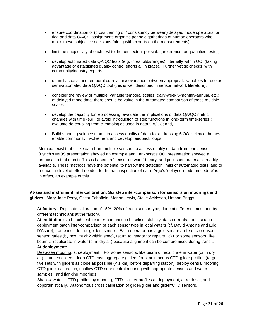- ensure coordination of (cross training of / consistency between) delayed mode operators for flag and data QA/QC assignment; organize periodic gatherings of human operators who make these subjective decisions (along with experts on the measurements);
- limit the subjectivity of each test to the best extent possible (preference for quantified tests);
- develop automated data QA/QC tests (e.g. thresholds/ranges) internally within OOI (taking advantage of established quality control efforts all in place). Further vet qc checks with community/industry experts;
- quantify spatial and temporal correlation/covariance between appropriate variables for use as semi-automated data QA/QC tool (this is well described in sensor network literature);
- consider the review of multiple, variable temporal scales (daily-weekly-monthly-annual, etc.) of delayed mode data; there should be value in the automated comparison of these multiple scales;
- develop the capacity for reprocessing; evaluate the implications of data QA/QC metric changes with time (e.g., to avoid introduction of step functions in long-term time-series); evaluate de-coupling from climatologies used in data QA/QC; and,
- Build standing science teams to assess quality of data for addressing 6 OOI science themes; enable community involvement and develop feedback loops.

Methods exist that utilize data from multiple sensors to assess quality of data from one sensor (Lynch's IMOS presentation showed an example and Lankhorst's OOI presentation showed a proposal to that effect). This is based on "sensor network" theory, and published material is readily available. These methods have the potential to narrow the detection limits of automated tests, and to reduce the level of effort needed for human inspection of data. Argo's 'delayed-mode procedure' is, in effect, an example of this.

**At-sea and instrument inter-calibration: Six step inter-comparison for sensors on moorings and gliders.** Mary Jane Perry, Oscar Schofield, Marlon Lewis, Steve Ackleson, Nathan Briggs

**At factory:** Replicate calibration of 15%- 20% of each sensor type, done at different times, and by different technicians at the factory.

**At institution:** a) bench test for inter-comparison baseline, stability, dark currents. b) In situ predeployment batch inter-comparison of each sensor type in local waters (cf. David Antoine and Eric D'Asaro); frame include the 'golden' sensor. Each operator has a gold sensor / reference sensor. If sensor varies (by how much? within spec), return to vendor for repairs. c) For some sensors, like beam c, recalibrate in water (or in dry air) because alignment can be compromised during transit. **At deployment:**

Deep-sea mooring, at deployment: For some sensors, like beam c, recalibrate in water (or in dry air). Launch gliders, deep CTD cast, aggregate gliders for simultaneous CTD-glider profiles (target five sets with gliders as close as possible (< 1 km) before departing station), deploy central mooring, CTD-glider calibration, shallow CTD near central mooring with appropriate sensors and water samples, and flanking moorings.

Shallow water – CTD profiles by mooring, CTD – glider profiles at deployment, at retrieval, and opportunistically. Autonomous cross calibration of glider/glider and glider/CTD sensors.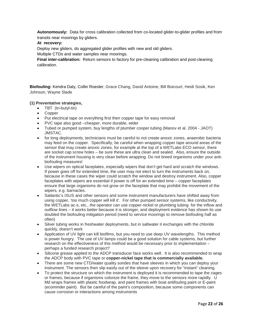**Autonomously:** Data for cross calibration collected from co-located glider-to-glider profiles and from transits near moorings by gliders.

### **At recovery:**

Deploy new gliders, do aggregated glider profiles with new and old gliders.

Multiple CTDs and water samples near moorings.

**Final inter-calibration:** Return sensors to factory for pre-cleaning calibration and post-cleaning calibration.

**Biofouling:** Kendra Daly, Collin Roesler, Grace Chang, David Antoine, Bill Boicourt, Heidi Sosik, Ken Johnson, Wayne Slade

#### **(1) Preventative strategies,**

- TBT (tri-butyl-tin)
- Copper
- Put electrical tape on everything first then copper tape for easy removal
- PVC tape also good –cheaper, more durable, wider
- Tubed or pumped system, buy lengths of plumber cooper tubing (Manov et al. 2004 JAOT) JMSTAC.
- for long deployments, technicians must be careful to not create anoxic zones, anaerobic bacteria may feed on the copper. Specifically, be careful when wrapping copper tape around areas of the sensor that may create anoxic zones, for example at the top of a WETLabs ECO sensor, there are socket cap screw holes – be sure these are ultra clean and sealed. Also, ensure the outside of the instrument housing is very clean before wrapping. Do not breed organisms under your antibiofouling measures!
- Use wipers on optical faceplates, especially wipers that don't get hard and scratch the windows. If power goes off for extended time, the user may not elect to turn the instruments back on, because in these cases the wiper could scratch the window and destroy instrument. Also, copper faceplates with wipers are essential if power is off for an extended time – copper faceplates ensure that large organisms do not grow on the faceplate that may prohibit the movement of the wipers, e.g. barnacles.
- Satlantic's ISUS and other sensors and some instrument manufacturers have shifted away from using copper, 'too much copper will kill it'. For other pumped sensor systems, like conductivity, the WETLabs ac-s, etc., the operator can use copper-nickel or plumbing tubing for the inflow and outflow lines – it works better because it is stronger, and deployment evidence has shown its use doubled the biofouling mitigation period (need to service moorings to remove biofouling half as often)
- Silver tubing works in freshwater deployments, but in saltwater it exchanges with the chloride quickly, doesn't work
- Application of UV light can kill biofilms, but you need to use deep UV wavelengths. This method is power hungry. The use of UV lamps could be a good solution for cable systems, but further research on the effectiveness of this method would be necessary prior to implementation – perhaps a funded research project?
- Silicone grease applied to the ADCP transducer face works well. It is also recommended to wrap the ADCP body with PVC tape or **copper-nickel tape that is commercially available.**
- There are some new CTD/water quality sondes that have sleeves in which you can deploy your instrument. The sensors then slip easily out of the sleeve upon recovery for "instant" cleaning.
- To protect the structure on which the instrument is deployed it is recommended to tape the cages or frames, because if organisms colonize the frame, they move to the sensors more rapidly. U Md wraps frames with plastic foodwrap, and paint frames with boat antifouling paint or E-paint (ecominder paint). But be careful of the paint's composition, because some components can cause corrosion or interactions among instruments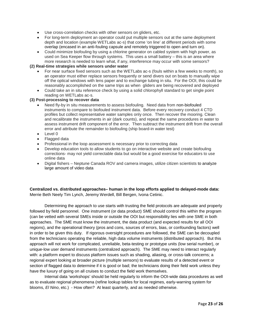- Use cross-correlation checks with other sensors on gliders, etc.
- For long-term deployment an operator could put multiple sensors out at the same deployment depth and location (example WETLabs ac-s) that come 'on line' at different periods with some overlap (encased in an anti-fouling capsule and remotely triggered to open and turn on).
- Could minimize biofouling by using a chlorine generator on cabled system with high power, as used on Sea Keeper flow through systems. This uses a small battery – this is an area where more research is needed to learn what, if any, interference may occur with some sensors?

#### **(2) Real-time strategies while sensors under water**

- For near surface fixed sensors such as the WETLabs ac-s (fouls within a few weeks to month), so an operator must either replace sensors frequently or send divers out on boats to manually wipe off the optical windows with lens paper and to exchange tubing in situ. For the OOI, this could be reasonably accomplished on the same trips as when gliders are being recovered and deployed
- Could take an in situ reference check by using a solid chlorophyll standard to get single point reading on WETLabs ac-s.

#### **(3) Post-processing to recover data**

- Need fly-by in situ measurements to assess biofouling. Need data from non-biofouled instruments to compare to biofouled instrument data. Before every recovery conduct 4 CTD profiles but collect representative water samples only once. Then recover the mooring. Clean and recalibrate the instruments in air (dark counts), and repeat the same procedures in water to assess instrument drift component of the error. Then subtract the instrument drift from the overall error and attribute the remainder to biofouling (ship board-in water test)
- Level 0
- Flagged data
- Professional in the loop assessment is necessary prior to correcting data
- Develop education tools to allow students to go on interactive website and create biofouling corrections- may not yield correctable data but would be a good exercise for educators to use online data
- Digital fishers Neptune Canada ROV and camera images, utilize citizen scientists to analyze large amount of video data

**Centralized vs. distributed approaches– human in the loop efforts applied to delayed-mode data:** Merrie Beth Neely Tim Lynch, Jeremy Werdell, Bill Bergen, Ivona Cetinic.

Determining the approach to use starts with trusting the field protocols are adequate and properly followed by field personnel. One instrument (or data product) SME should control this within the program (can be vetted with several SMEs inside or outside the OOI but responsibility lies with one SME in both approaches. The SME must know the instrument, the data product (and expected results for all OOI regions), and the operational theory (pros and cons, sources of errors, bias, or confounding factors) well in order to be given this duty. If rigorous oversight procedures are followed, the SME can be decoupled from the technicians operating the reliable, high data volume instruments (distributed approach). But this approach will not work for complicated, unreliable, beta-testing or prototype units (low serial number), or unique-low user demand instruments (centralized approach). The SME may need to interact regularly with: a platform expert to discuss platform issues such as shading, aliasing, or cross-talk concerns; a regional expert looking at broader picture (multiple sensors) to evaluate results of a detected event or section of flagged data to determine if it is good or bad; the technicians doing their field work unless they have the luxury of going on all cruises to conduct the field work themselves.

Internal data 'workshops' should be held regularly to inform the OOI-wide data procedures as well as to evaluate regional phenomena (refine lookup tables for local regimes, early-warning system for blooms, *El Nino*, etc.) - How often? At least quarterly, and as needed otherwise.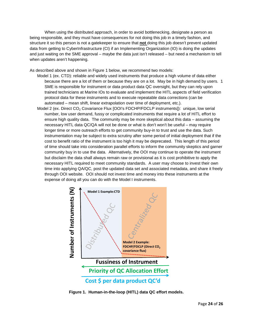When using the distributed approach, in order to avoid bottlenecking, designate a person as being responsible, and they must have consequences for not doing this job in a timely fashion, and structure it so this person is not a gatekeeper to ensure that **not** doing this job doesn't prevent updated data from getting to CyberInfrastructure (CI) if an Implementing Organization (IO) is doing the updates and just waiting on the SME approval – maybe the data just isn't released – but need a mechanism to tell when updates aren't happening.

As described above and shown in Figure 1 below, we recommend two models:

- Model 1 (ex. CTD): reliable and widely used instruments that produce a high volume of data either because there are a lot of them or because they are on a lot. May be in high demand by users. 1 SME is responsible for instrument or data product data QC oversight, but they can rely upon trained technicians at Marine IOs to evaluate and implement the HITL aspects of field verification protocol data for these instruments and to execute repeatable data corrections (can be automated – mean shift, linear extrapolation over time of deployment, etc.).
- Model 2 (ex. Direct CO<sub>2</sub> Covariance Flux [OOI's FDCHP/FDCLP instruments]): unique, low serial number, low user demand, fussy or complicated instruments that require a lot of HITL effort to ensure high quality data. The community may be more skeptical about this data – assuming the necessary HITL data QC/QA will not be done or what is don't won't be useful – may require longer time or more outreach efforts to get community buy-in to trust and use the data. Such instrumentation may be subject to extra scrutiny after some period of initial deployment that if the cost to benefit ratio of the instrument is too high it may be deprecated. This length of this period of time should take into consideration parallel efforts to inform the community skeptics and garner community buy in to use the data. Alternatively, the OOI may continue to operate the instrument but disclaim the data shall always remain raw or provisional as it is cost prohibitive to apply the necessary HITL required to meet community standards. A user may choose to invest their own time into applying QA/QC, post the updated data set and associated metadata, and share it freely through OOI website. OOI should not invest time and money into these instruments at the expense of doing all you can do with the Model I instruments.



**Figure 1. Human-in-the-loop (HITL) data QC effort models.**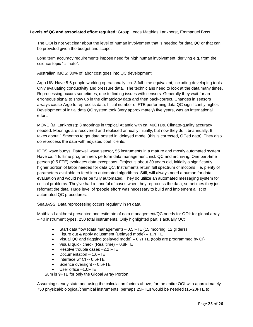### **Levels of QC and associated effort required:** Group Leads Matthias Lankhorst, Emmanuel Boss

The OOI is not yet clear about the level of human involvement that is needed for data QC or that can be provided given the budget and scope.

Long term accuracy requirements impose need for high human involvement, deriving e.g. from the science topic "climate".

Australian IMOS: 30% of labor cost goes into QC development.

Argo US: Have 5-6 people working operationally, ca. 3 full-time equivalent, including developing tools. Only evaluating conductivity and pressure data. The technicians need to look at the data many times. Reprocessing occurs sometimes, due to finding issues with sensors. Generally they wait for an erroneous signal to show up in the climatology data and then back-correct. Changes in sensors always cause Argo to reprocess data. Initial number of FTE performing data QC significantly higher. Development of initial data QC system took (very approximately) five years, was an international effort.

MOVE (M. Lankhorst): 3 moorings in tropical Atlantic with ca. 40CTDs. Climate-quality accuracy needed. Moorings are recovered and replaced annually initially, but now they do it bi-annually. It takes about 1.5months to get data posted in 'delayed mode' (this is corrected, QCed data). They also do reprocess the data with adjusted coefficients.

IOOS wave buoys: Datawell wave sensor, 55 instruments in a mature and mostly automated system. Have ca. 4 fulltime programmers perform data management, incl. QC and archiving. One part-time person (0.5 FTE) evaluates data exceptions. Project is about 30 years old, initially a significantly higher portion of labor needed for data QC. Instruments return full spectrum of motions, i.e. plenty of parameters available to feed into automated algorithms. Still, will always need a human for data evaluation and would never be fully automated. They do utilize an automated messaging system for critical problems. They've had a handful of cases when they reprocess the data; sometimes they just reformat the data. Huge level of 'people effort' was necessary to build and implement a list of automated QC procedures.

SeaBASS: Data reprocessing occurs regularly in PI data.

Matthias Lankhorst presented one estimate of data management/QC needs for OOI: for global array – 40 instrument types, 250 total instruments. Only highlighted part is actually QC:

- Start data flow (data management) 0.5 FTE (15 mooring, 12 gliders)
- Figure out & apply adjustment (Delayed mode) 1.7FTE
- Visual QC and flagging (delayed mode) 0.7FTE (tools are programmed by CI)
- Visual quick check (Real time) 0.8FTE
- Resolve trouble cases –2.2 FTE
- Documentation 1.0FTE
- Interface w/ CI -- 0.5FTE
- Science oversight -- 0.5FTE
- User office  $-1.0$ FTE

Sum is 9FTE for only the Global Array Portion.

Assuming steady state and using the calculation factors above, for the entire OOI with approximately 750 physical/biological/chemical instruments, perhaps 25FTEs would be needed (15-20FTE to